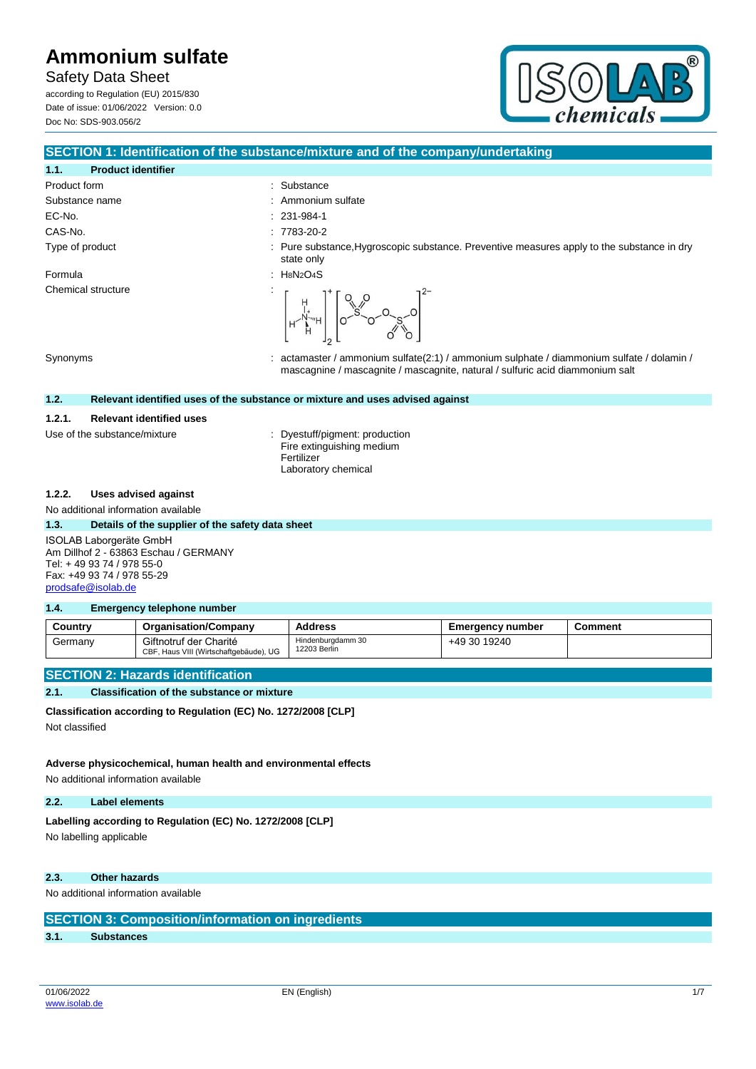Safety Data Sheet according to Regulation (EU) 2015/830

Date of issue: 01/06/2022 Version: 0.0 Doc No: SDS-903.056/2



### **SECTION 1: Identification of the substance/mixture and of the company/undertaking**

: Ammonium sulfate  $: 231-984-1$  $: 7783 - 20 - 2$ 

# **1.1. Product identifier**

| Product form    | : Substance        |
|-----------------|--------------------|
| Substance name  | : Ammoniun         |
| EC-No.          | $: 231-984-1$      |
| CAS-No.         | $: 7783-20-2$      |
| Type of product | $\cdot$ Duro cubet |

Formula : H8N2O4S Chemical structure

# Type of product **interproduct** : Pure substance,Hygroscopic substance. Preventive measures apply to the substance in dry state only



Synonyms : actamaster / ammonium sulfate(2:1) / ammonium sulphate / diammonium sulfate / dolamin / mascagnine / mascagnite / mascagnite, natural / sulfuric acid diammonium salt

### **1.2. Relevant identified uses of the substance or mixture and uses advised against**

### **1.2.1. Relevant identified uses**

Use of the substance/mixture : Dyestuff/pigment: production Fire extinguishing medium Fertilizer Laboratory chemical

#### **1.2.2. Uses advised against**

#### No additional information available

#### **1.3. Details of the supplier of the safety data sheet**

ISOLAB Laborgeräte GmbH Am Dillhof 2 - 63863 Eschau / GERMANY Tel: + 49 93 74 / 978 55-0 Fax: +49 93 74 / 978 55-29 [prodsafe@isolab.de](mailto:prodsafe@isolab.de)

#### **1.4. Emergency telephone number**

| Country | <b>Organisation/Company</b>                                      | Address                           | <b>Emergency number</b> | Comment |
|---------|------------------------------------------------------------------|-----------------------------------|-------------------------|---------|
| Germany | Giftnotruf der Charité<br>CBF, Haus VIII (Wirtschaftgebäude), UG | Hindenburgdamm 30<br>12203 Berlin | +49 30 19240            |         |

#### **SECTION 2: Hazards identification**

#### **2.1. Classification of the substance or mixture**

**Classification according to Regulation (EC) No. 1272/2008 [CLP]**

Not classified

## **Adverse physicochemical, human health and environmental effects**

No additional information available

#### **2.2. Label elements**

Labelling according to Regulation (EC) No. 1272/2008 [CLP] No labelling applicable

#### **2.3. Other hazards**

No additional information available

| <b>SECTION 3: Composition/information on ingredients</b> |  |  |  |
|----------------------------------------------------------|--|--|--|
|----------------------------------------------------------|--|--|--|

#### **3.1. Substances**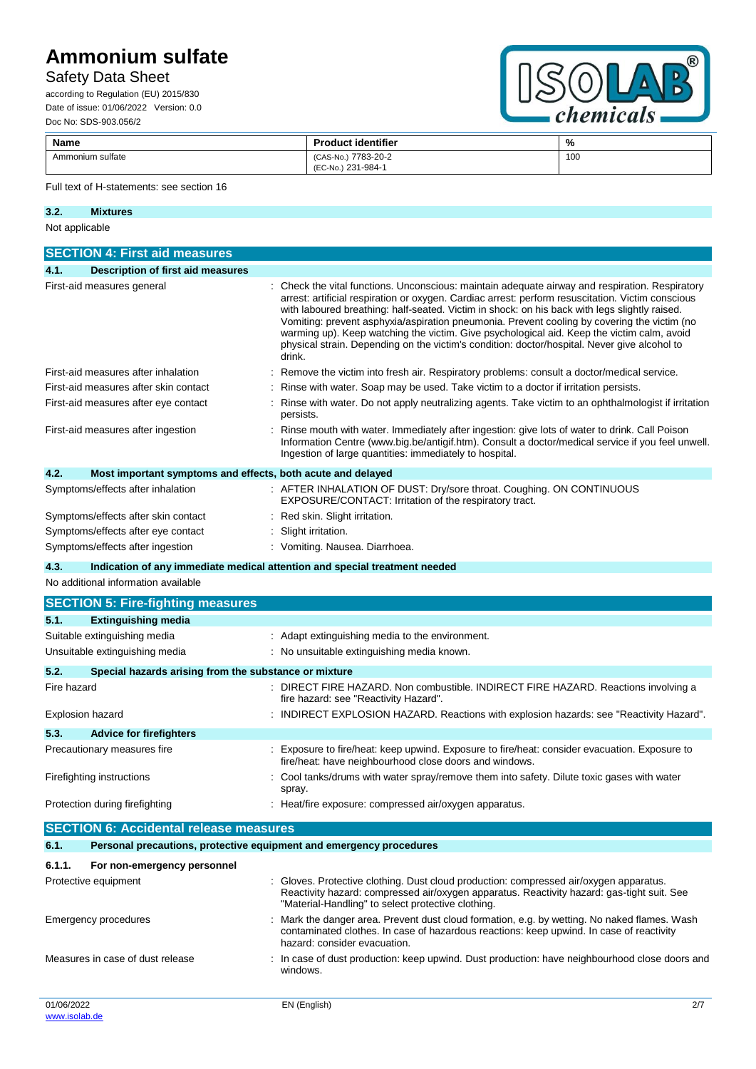# Safety Data Sheet

according to Regulation (EU) 2015/830 Date of issue: 01/06/2022 Version: 0.0 Doc No: SDS-903.056/2



| <b>Name</b>      | <b>Product identifier</b>                          | %   |
|------------------|----------------------------------------------------|-----|
| Ammonium sulfate | 7783-20-2<br>$(CAS-N0)$<br>231-984-1<br>$(EC-No.)$ | 100 |

### Full text of H-statements: see section 16

#### **3.2. Mixtures**

#### Not applicable

|             | <b>SECTION 4: First aid measures</b>                                |                                                                                                                                                                                                                                                                                                                                                                                                                                                                                                                                                                                                            |
|-------------|---------------------------------------------------------------------|------------------------------------------------------------------------------------------------------------------------------------------------------------------------------------------------------------------------------------------------------------------------------------------------------------------------------------------------------------------------------------------------------------------------------------------------------------------------------------------------------------------------------------------------------------------------------------------------------------|
| 4.1.        | <b>Description of first aid measures</b>                            |                                                                                                                                                                                                                                                                                                                                                                                                                                                                                                                                                                                                            |
|             | First-aid measures general                                          | Check the vital functions. Unconscious: maintain adequate airway and respiration. Respiratory<br>arrest: artificial respiration or oxygen. Cardiac arrest: perform resuscitation. Victim conscious<br>with laboured breathing: half-seated. Victim in shock: on his back with legs slightly raised.<br>Vomiting: prevent asphyxia/aspiration pneumonia. Prevent cooling by covering the victim (no<br>warming up). Keep watching the victim. Give psychological aid. Keep the victim calm, avoid<br>physical strain. Depending on the victim's condition: doctor/hospital. Never give alcohol to<br>drink. |
|             | First-aid measures after inhalation                                 | Remove the victim into fresh air. Respiratory problems: consult a doctor/medical service.                                                                                                                                                                                                                                                                                                                                                                                                                                                                                                                  |
|             | First-aid measures after skin contact                               | Rinse with water. Soap may be used. Take victim to a doctor if irritation persists.                                                                                                                                                                                                                                                                                                                                                                                                                                                                                                                        |
|             | First-aid measures after eye contact                                | Rinse with water. Do not apply neutralizing agents. Take victim to an ophthalmologist if irritation<br>persists.                                                                                                                                                                                                                                                                                                                                                                                                                                                                                           |
|             | First-aid measures after ingestion                                  | Rinse mouth with water. Immediately after ingestion: give lots of water to drink. Call Poison<br>Information Centre (www.big.be/antigif.htm). Consult a doctor/medical service if you feel unwell.<br>Ingestion of large quantities: immediately to hospital.                                                                                                                                                                                                                                                                                                                                              |
| 4.2.        | Most important symptoms and effects, both acute and delayed         |                                                                                                                                                                                                                                                                                                                                                                                                                                                                                                                                                                                                            |
|             | Symptoms/effects after inhalation                                   | : AFTER INHALATION OF DUST: Dry/sore throat. Coughing. ON CONTINUOUS<br>EXPOSURE/CONTACT: Irritation of the respiratory tract.                                                                                                                                                                                                                                                                                                                                                                                                                                                                             |
|             | Symptoms/effects after skin contact                                 | Red skin. Slight irritation.                                                                                                                                                                                                                                                                                                                                                                                                                                                                                                                                                                               |
|             | Symptoms/effects after eye contact                                  | Slight irritation.                                                                                                                                                                                                                                                                                                                                                                                                                                                                                                                                                                                         |
|             | Symptoms/effects after ingestion                                    | : Vomiting. Nausea. Diarrhoea.                                                                                                                                                                                                                                                                                                                                                                                                                                                                                                                                                                             |
| 4.3.        |                                                                     | Indication of any immediate medical attention and special treatment needed                                                                                                                                                                                                                                                                                                                                                                                                                                                                                                                                 |
|             | No additional information available                                 |                                                                                                                                                                                                                                                                                                                                                                                                                                                                                                                                                                                                            |
|             | <b>SECTION 5: Fire-fighting measures</b>                            |                                                                                                                                                                                                                                                                                                                                                                                                                                                                                                                                                                                                            |
| 5.1.        | <b>Extinguishing media</b>                                          |                                                                                                                                                                                                                                                                                                                                                                                                                                                                                                                                                                                                            |
|             | Suitable extinguishing media                                        | : Adapt extinguishing media to the environment.                                                                                                                                                                                                                                                                                                                                                                                                                                                                                                                                                            |
|             | Unsuitable extinguishing media                                      | : No unsuitable extinguishing media known.                                                                                                                                                                                                                                                                                                                                                                                                                                                                                                                                                                 |
| 5.2.        | Special hazards arising from the substance or mixture               |                                                                                                                                                                                                                                                                                                                                                                                                                                                                                                                                                                                                            |
| Fire hazard |                                                                     | DIRECT FIRE HAZARD. Non combustible. INDIRECT FIRE HAZARD. Reactions involving a<br>fire hazard: see "Reactivity Hazard".                                                                                                                                                                                                                                                                                                                                                                                                                                                                                  |
|             | <b>Explosion hazard</b>                                             | INDIRECT EXPLOSION HAZARD. Reactions with explosion hazards: see "Reactivity Hazard".                                                                                                                                                                                                                                                                                                                                                                                                                                                                                                                      |
| 5.3.        | <b>Advice for firefighters</b>                                      |                                                                                                                                                                                                                                                                                                                                                                                                                                                                                                                                                                                                            |
|             | Precautionary measures fire                                         | : Exposure to fire/heat: keep upwind. Exposure to fire/heat: consider evacuation. Exposure to<br>fire/heat: have neighbourhood close doors and windows.                                                                                                                                                                                                                                                                                                                                                                                                                                                    |
|             | Firefighting instructions                                           | Cool tanks/drums with water spray/remove them into safety. Dilute toxic gases with water<br>spray.                                                                                                                                                                                                                                                                                                                                                                                                                                                                                                         |
|             | Protection during firefighting                                      | : Heat/fire exposure: compressed air/oxygen apparatus.                                                                                                                                                                                                                                                                                                                                                                                                                                                                                                                                                     |
|             | <b>SECTION 6: Accidental release measures</b>                       |                                                                                                                                                                                                                                                                                                                                                                                                                                                                                                                                                                                                            |
| 6.1.        | Personal precautions, protective equipment and emergency procedures |                                                                                                                                                                                                                                                                                                                                                                                                                                                                                                                                                                                                            |
|             |                                                                     |                                                                                                                                                                                                                                                                                                                                                                                                                                                                                                                                                                                                            |

#### **6.1.1. For non-emergency personnel**

| Protective equipment             | : Gloves. Protective clothing. Dust cloud production: compressed air/oxygen apparatus.<br>Reactivity hazard: compressed air/oxygen apparatus. Reactivity hazard: gas-tight suit. See<br>"Material-Handling" to select protective clothing. |     |
|----------------------------------|--------------------------------------------------------------------------------------------------------------------------------------------------------------------------------------------------------------------------------------------|-----|
| Emergency procedures             | : Mark the danger area. Prevent dust cloud formation, e.g. by wetting. No naked flames. Wash<br>contaminated clothes. In case of hazardous reactions: keep upwind. In case of reactivity<br>hazard: consider evacuation.                   |     |
| Measures in case of dust release | : In case of dust production: keep upwind. Dust production: have neighbourhood close doors and<br>windows.                                                                                                                                 |     |
| 01/06/2022                       | EN (English)                                                                                                                                                                                                                               | 2/7 |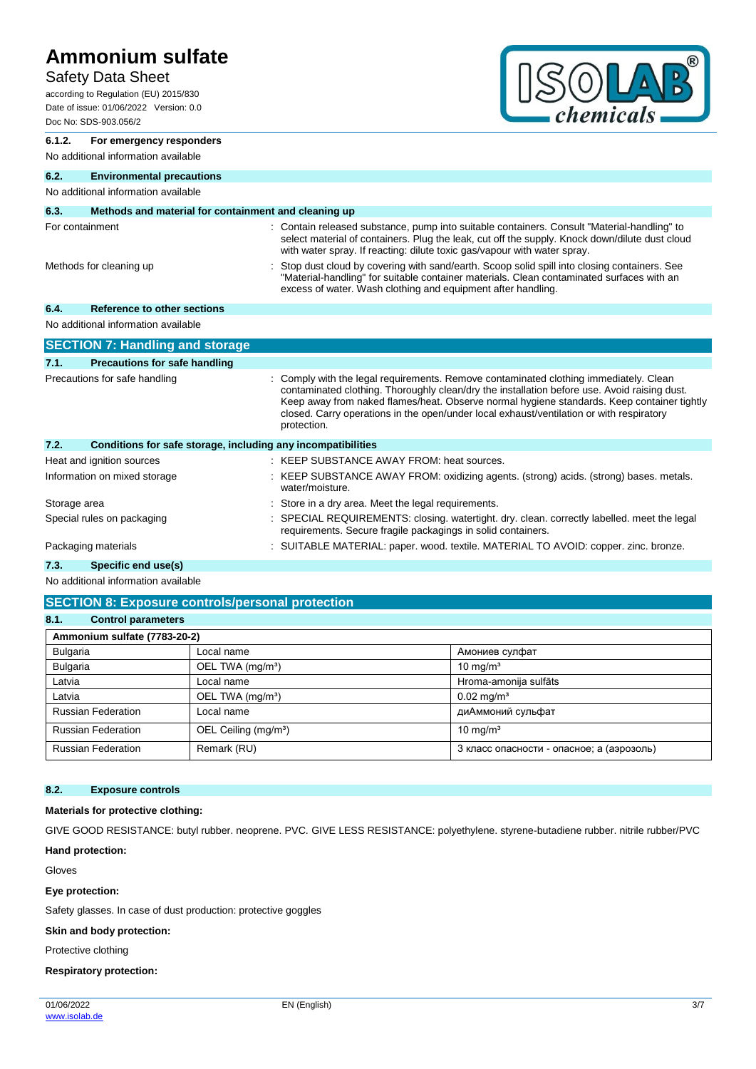### Safety Data Sheet

according to Regulation (EU) 2015/830 Date of issue: 01/06/2022 Version: 0.0 Doc No: SDS-903.056/2



| 6.1.2.          | For emergency responders                                     |                                                                                                                                                                                                                                                                                                                                                                                              |
|-----------------|--------------------------------------------------------------|----------------------------------------------------------------------------------------------------------------------------------------------------------------------------------------------------------------------------------------------------------------------------------------------------------------------------------------------------------------------------------------------|
|                 | No additional information available                          |                                                                                                                                                                                                                                                                                                                                                                                              |
| 6.2.            | <b>Environmental precautions</b>                             |                                                                                                                                                                                                                                                                                                                                                                                              |
|                 | No additional information available                          |                                                                                                                                                                                                                                                                                                                                                                                              |
| 6.3.            | Methods and material for containment and cleaning up         |                                                                                                                                                                                                                                                                                                                                                                                              |
| For containment |                                                              | : Contain released substance, pump into suitable containers. Consult "Material-handling" to<br>select material of containers. Plug the leak, cut off the supply. Knock down/dilute dust cloud<br>with water spray. If reacting: dilute toxic gas/vapour with water spray.                                                                                                                    |
|                 | Methods for cleaning up                                      | Stop dust cloud by covering with sand/earth. Scoop solid spill into closing containers. See<br>"Material-handling" for suitable container materials. Clean contaminated surfaces with an<br>excess of water. Wash clothing and equipment after handling.                                                                                                                                     |
| 6.4.            | <b>Reference to other sections</b>                           |                                                                                                                                                                                                                                                                                                                                                                                              |
|                 | No additional information available                          |                                                                                                                                                                                                                                                                                                                                                                                              |
|                 | <b>SECTION 7: Handling and storage</b>                       |                                                                                                                                                                                                                                                                                                                                                                                              |
| 7.1.            | <b>Precautions for safe handling</b>                         |                                                                                                                                                                                                                                                                                                                                                                                              |
|                 | Precautions for safe handling                                | Comply with the legal requirements. Remove contaminated clothing immediately. Clean<br>contaminated clothing. Thoroughly clean/dry the installation before use. Avoid raising dust.<br>Keep away from naked flames/heat. Observe normal hygiene standards. Keep container tightly<br>closed. Carry operations in the open/under local exhaust/ventilation or with respiratory<br>protection. |
| 7.2.            | Conditions for safe storage, including any incompatibilities |                                                                                                                                                                                                                                                                                                                                                                                              |
|                 | Heat and ignition sources                                    | KEEP SUBSTANCE AWAY FROM: heat sources.                                                                                                                                                                                                                                                                                                                                                      |
|                 | Information on mixed storage                                 | KEEP SUBSTANCE AWAY FROM: oxidizing agents. (strong) acids. (strong) bases. metals.<br>water/moisture.                                                                                                                                                                                                                                                                                       |
| Storage area    |                                                              | Store in a dry area. Meet the legal requirements.                                                                                                                                                                                                                                                                                                                                            |
|                 | Special rules on packaging                                   | SPECIAL REQUIREMENTS: closing. watertight. dry. clean. correctly labelled. meet the legal<br>requirements. Secure fragile packagings in solid containers.                                                                                                                                                                                                                                    |
|                 | Packaging materials                                          | : SUITABLE MATERIAL: paper. wood. textile. MATERIAL TO AVOID: copper. zinc. bronze.                                                                                                                                                                                                                                                                                                          |
|                 |                                                              |                                                                                                                                                                                                                                                                                                                                                                                              |
| 7.3.            | Specific end use(s)                                          |                                                                                                                                                                                                                                                                                                                                                                                              |

# No additional information available

# **SECTION 8: Exposure controls/personal protection 8.1. Control parameters Ammonium sulfate (7783-20-2)** Bulgaria **Local name AMONIC LOCAL NAMONIC LOCAL NAMONIC RESPONSI AMONIC CONTRACT** Bulgaria **DEL TWA (mg/m<sup>3</sup>)** 10 mg/m<sup>3</sup> Latvia **Local name Local name Local name Hroma-amonija sulfāts** Latvia CEL TWA (mg/m<sup>a</sup>) 0.02 mg/m<sup>a</sup> Russian Federation | Local name | издать | диАммоний сульфат Russian Federation **OEL Ceiling (mg/m<sup>3</sup>)** 10 mg/m<sup>3</sup> Russian Federation Remark (RU) Remark (RU) 3 класс опасности - опасное; а (аэрозоль)

#### **8.2. Exposure controls**

### **Materials for protective clothing:**

GIVE GOOD RESISTANCE: butyl rubber. neoprene. PVC. GIVE LESS RESISTANCE: polyethylene. styrene-butadiene rubber. nitrile rubber/PVC

#### **Hand protection:**

Gloves

#### **Eye protection:**

Safety glasses. In case of dust production: protective goggles

#### **Skin and body protection:**

Protective clothing

#### **Respiratory protection:**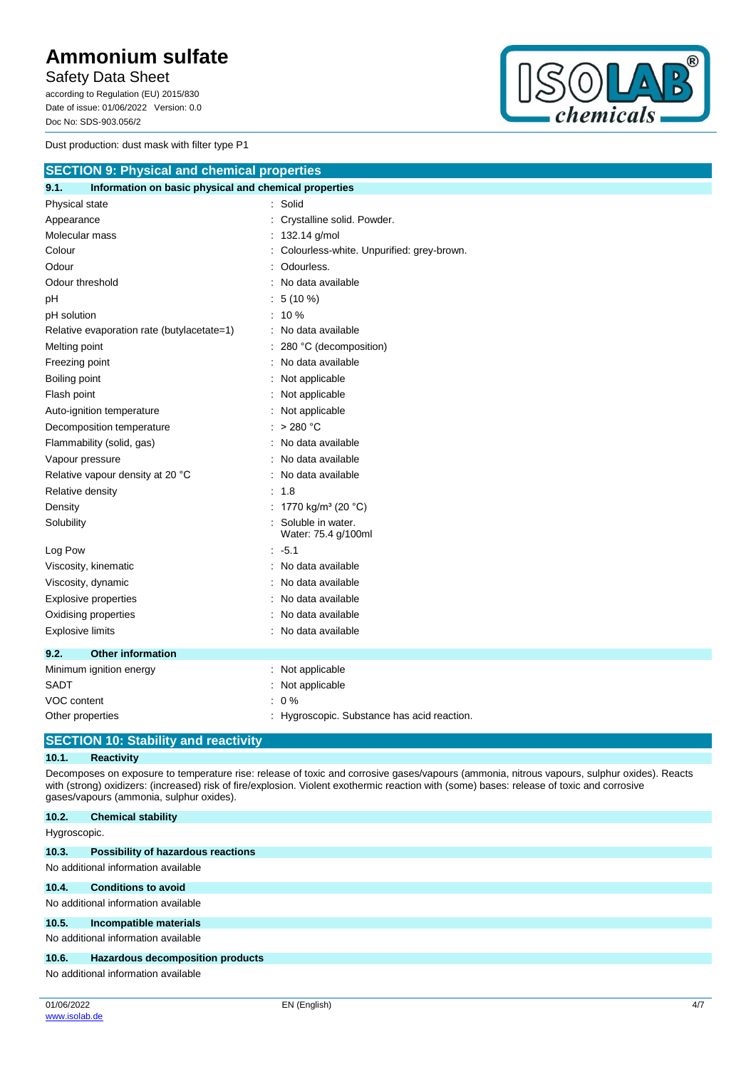Safety Data Sheet

according to Regulation (EU) 2015/830 Date of issue: 01/06/2022 Version: 0.0 Doc No: SDS-903.056/2

Dust production: dust mask with filter type P1



| <b>SECTION 9: Physical and chemical properties</b>            |                                             |
|---------------------------------------------------------------|---------------------------------------------|
| 9.1.<br>Information on basic physical and chemical properties |                                             |
| Physical state                                                | : Solid                                     |
| Appearance                                                    | : Crystalline solid. Powder.                |
| Molecular mass                                                | : 132.14 g/mol                              |
| Colour                                                        | : Colourless-white. Unpurified: grey-brown. |
| Odour                                                         | Odourless.                                  |
| Odour threshold                                               | : No data available                         |
| рH                                                            | $: 5(10\%)$                                 |
| pH solution                                                   | $: 10 \%$                                   |
| Relative evaporation rate (butylacetate=1)                    | : No data available                         |
| Melting point                                                 | 280 °C (decomposition)                      |
| Freezing point                                                | : No data available                         |
| Boiling point                                                 | : Not applicable                            |
| Flash point                                                   | : Not applicable                            |
| Auto-ignition temperature                                     | : Not applicable                            |
| Decomposition temperature                                     | $:$ > 280 °C                                |
| Flammability (solid, gas)                                     | : No data available                         |
| Vapour pressure                                               | : No data available                         |
| Relative vapour density at 20 °C                              | : No data available                         |
| Relative density                                              | : 1.8                                       |
| Density                                                       | : 1770 kg/m <sup>3</sup> (20 °C)            |
| Solubility                                                    | Soluble in water.<br>Water: 75.4 g/100ml    |
| Log Pow                                                       | $-5.1$                                      |
| Viscosity, kinematic                                          | : No data available                         |
| Viscosity, dynamic                                            | : No data available                         |
| Explosive properties                                          | : No data available                         |
| Oxidising properties                                          | : No data available                         |
| <b>Explosive limits</b>                                       | : No data available                         |
| 9.2.<br><b>Other information</b>                              |                                             |
| Minimum ignition energy                                       | : Not applicable                            |
| SADT                                                          | : Not applicable                            |
| VOC content                                                   | $: 0 \%$                                    |
| Other properties                                              | : Hygroscopic. Substance has acid reaction. |

# **SECTION 10: Stability and reactivity**

#### **10.1. Reactivity**

Decomposes on exposure to temperature rise: release of toxic and corrosive gases/vapours (ammonia, nitrous vapours, sulphur oxides). Reacts with (strong) oxidizers: (increased) risk of fire/explosion. Violent exothermic reaction with (some) bases: release of toxic and corrosive gases/vapours (ammonia, sulphur oxides).

| 10.2.        | <b>Chemical stability</b>                 |
|--------------|-------------------------------------------|
| Hygroscopic. |                                           |
| 10.3.        | <b>Possibility of hazardous reactions</b> |
|              | No additional information available       |
| 10.4.        | <b>Conditions to avoid</b>                |
|              | No additional information available       |
| 10.5.        | Incompatible materials                    |
|              | No additional information available       |
| 10.6.        | Hazardous decomposition products          |
|              | No additional information available       |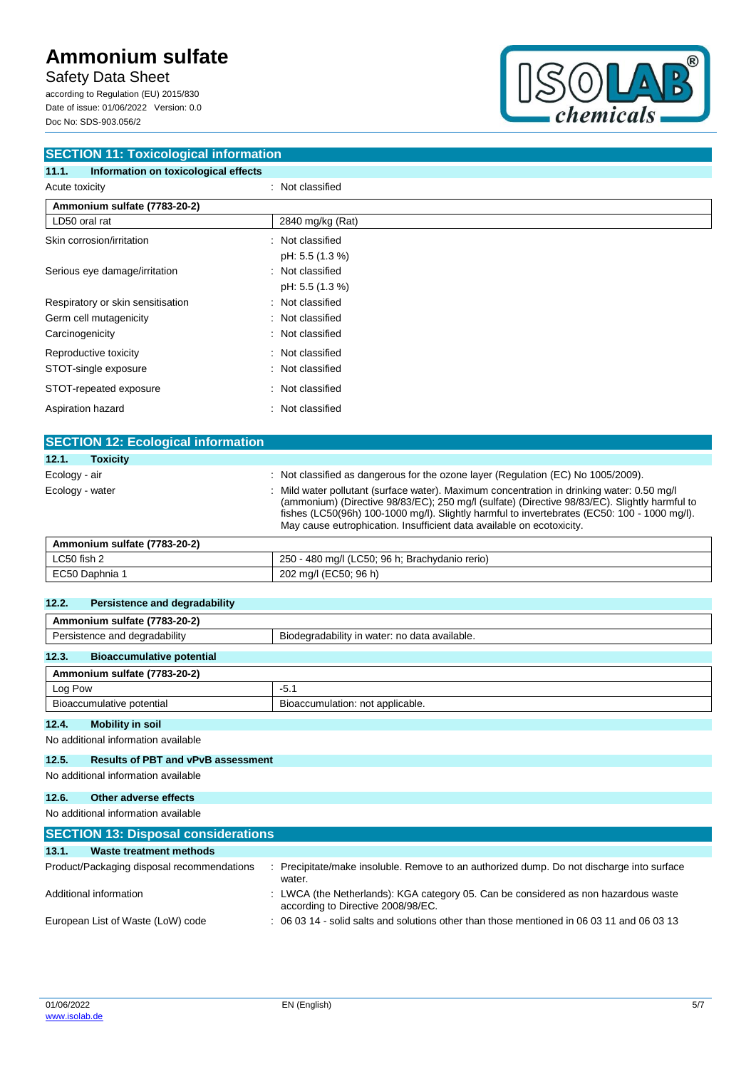Safety Data Sheet

according to Regulation (EU) 2015/830 Date of issue: 01/06/2022 Version: 0.0 Doc No: SDS-903.056/2



| <b>SECTION 11: Toxicological information</b>  |                  |  |
|-----------------------------------------------|------------------|--|
| Information on toxicological effects<br>11.1. |                  |  |
| Acute toxicity                                | : Not classified |  |
| Ammonium sulfate (7783-20-2)                  |                  |  |
| LD50 oral rat                                 | 2840 mg/kg (Rat) |  |
| Skin corrosion/irritation                     | : Not classified |  |
|                                               | pH: 5.5 (1.3 %)  |  |
| Serious eye damage/irritation                 | : Not classified |  |
|                                               | pH: 5.5 (1.3 %)  |  |
| Respiratory or skin sensitisation             | : Not classified |  |
| Germ cell mutagenicity                        | : Not classified |  |
| Carcinogenicity                               | : Not classified |  |
| Reproductive toxicity                         | : Not classified |  |
| STOT-single exposure                          | : Not classified |  |
| STOT-repeated exposure                        | : Not classified |  |
| Aspiration hazard                             | : Not classified |  |
|                                               |                  |  |

| <b>SECTION 12: Ecological information</b> |                                                                                                                                                                                                                                                                                                                                                                    |
|-------------------------------------------|--------------------------------------------------------------------------------------------------------------------------------------------------------------------------------------------------------------------------------------------------------------------------------------------------------------------------------------------------------------------|
| 12.1.<br><b>Toxicity</b>                  |                                                                                                                                                                                                                                                                                                                                                                    |
| Ecology - air                             | : Not classified as dangerous for the ozone layer (Regulation (EC) No 1005/2009).                                                                                                                                                                                                                                                                                  |
| Ecology - water                           | Mild water pollutant (surface water). Maximum concentration in drinking water: 0.50 mg/l<br>(ammonium) (Directive 98/83/EC); 250 mg/l (sulfate) (Directive 98/83/EC). Slightly harmful to<br>fishes (LC50(96h) 100-1000 mg/l). Slightly harmful to invertebrates (EC50: 100 - 1000 mg/l).<br>May cause eutrophication. Insufficient data available on ecotoxicity. |
| Ammonium sulfate (7783-20-2)              |                                                                                                                                                                                                                                                                                                                                                                    |

| LC50 fish 2    | ) - 480 mg/l (LC50; 96 h; Brachydanio rerio)<br>250 |
|----------------|-----------------------------------------------------|
| EC50 Daphnia 1 | (EC50, 96 h)<br>202 mg/l                            |

| 12.2.<br>Persistence and degradability    |                                               |  |
|-------------------------------------------|-----------------------------------------------|--|
| Ammonium sulfate (7783-20-2)              |                                               |  |
| Persistence and degradability             | Biodegradability in water: no data available. |  |
| <b>Bioaccumulative potential</b><br>12.3. |                                               |  |
| Ammonium sulfate (7783-20-2)              |                                               |  |
| Log Pow                                   | $-5.1$                                        |  |
| Bioaccumulative potential                 | Bioaccumulation: not applicable.              |  |
|                                           |                                               |  |

**12.4. Mobility in soil**

No additional information available

### **12.5. Results of PBT and vPvB assessment**

No additional information available

**12.6. Other adverse effects**

No additional information available

| <b>SECTION 13: Disposal considerations</b> |                                                                                                                           |  |  |  |  |
|--------------------------------------------|---------------------------------------------------------------------------------------------------------------------------|--|--|--|--|
| 13.1.<br>Waste treatment methods           |                                                                                                                           |  |  |  |  |
| Product/Packaging disposal recommendations | : Precipitate/make insoluble. Remove to an authorized dump. Do not discharge into surface<br>water.                       |  |  |  |  |
| Additional information                     | : LWCA (the Netherlands): KGA category 05. Can be considered as non hazardous waste<br>according to Directive 2008/98/EC. |  |  |  |  |
| European List of Waste (LoW) code          | : 06 03 14 - solid salts and solutions other than those mentioned in 06 03 11 and 06 03 13                                |  |  |  |  |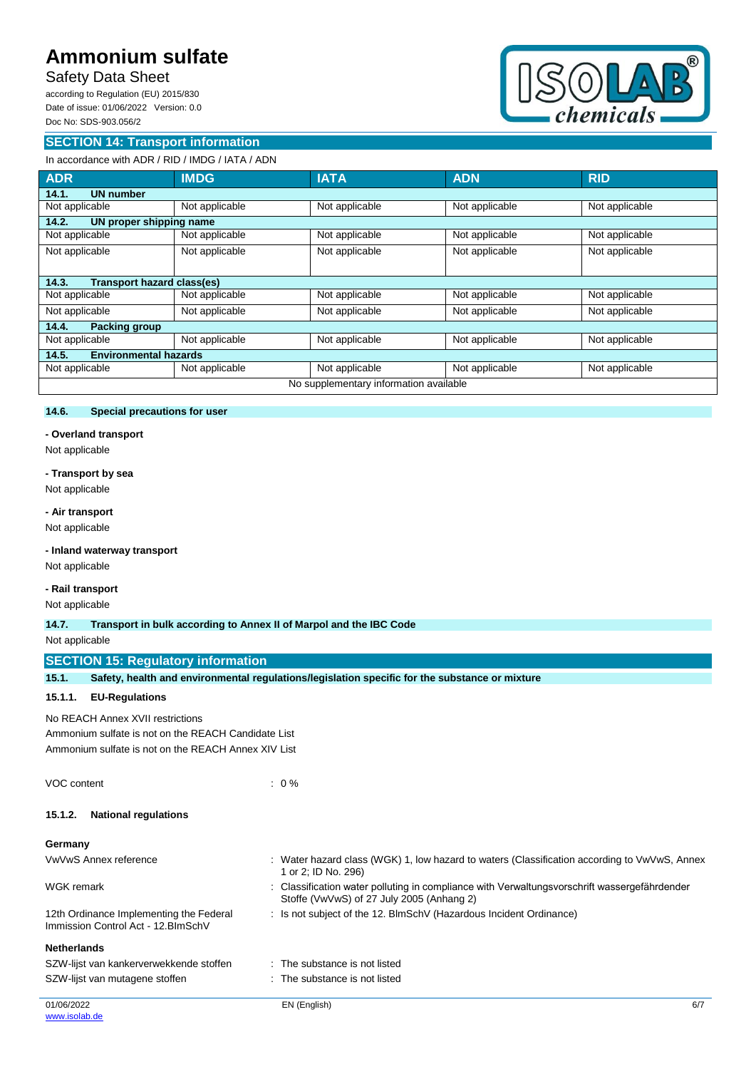# Safety Data Sheet

according to Regulation (EU) 2015/830 Date of issue: 01/06/2022 Version: 0.0 Doc No: SDS-903.056/2

#### **SECTION 14: Transport information**



### In accordance with ADR / RID / IMDG / IATA / ADN

| <b>ADR</b>                                 | <b>IMDG</b>    | <b>IATA</b>    | <b>ADN</b>     | <b>RID</b>     |  |
|--------------------------------------------|----------------|----------------|----------------|----------------|--|
| <b>UN number</b><br>14.1.                  |                |                |                |                |  |
| Not applicable                             | Not applicable | Not applicable | Not applicable | Not applicable |  |
| 14.2.<br>UN proper shipping name           |                |                |                |                |  |
| Not applicable                             | Not applicable | Not applicable | Not applicable | Not applicable |  |
| Not applicable                             | Not applicable | Not applicable | Not applicable | Not applicable |  |
|                                            |                |                |                |                |  |
| <b>Transport hazard class(es)</b><br>14.3. |                |                |                |                |  |
| Not applicable                             | Not applicable | Not applicable | Not applicable | Not applicable |  |
| Not applicable                             | Not applicable | Not applicable | Not applicable | Not applicable |  |
| Packing group<br>14.4.                     |                |                |                |                |  |
| Not applicable                             | Not applicable | Not applicable | Not applicable | Not applicable |  |
| <b>Environmental hazards</b><br>14.5.      |                |                |                |                |  |
| Not applicable                             | Not applicable | Not applicable | Not applicable | Not applicable |  |
| No supplementary information available     |                |                |                |                |  |

#### **14.6. Special precautions for user**

#### **- Overland transport**

Not applicable

#### **- Transport by sea**

Not applicable

#### **- Air transport**

Not applicable

#### **- Inland waterway transport**

Not applicable

#### **- Rail transport**

Not applicable

#### **14.7. Transport in bulk according to Annex II of Marpol and the IBC Code**

#### Not applicable

#### **SECTION 15: Regulatory information**

| <b>SECTION 15: Regulatory information</b>                                      |                                                                                                                                         |  |  |  |  |
|--------------------------------------------------------------------------------|-----------------------------------------------------------------------------------------------------------------------------------------|--|--|--|--|
| 15.1.                                                                          | Safety, health and environmental regulations/legislation specific for the substance or mixture                                          |  |  |  |  |
| <b>EU-Regulations</b><br>15.1.1.                                               |                                                                                                                                         |  |  |  |  |
| No REACH Annex XVII restrictions                                               |                                                                                                                                         |  |  |  |  |
| Ammonium sulfate is not on the REACH Candidate List                            |                                                                                                                                         |  |  |  |  |
| Ammonium sulfate is not on the REACH Annex XIV List                            |                                                                                                                                         |  |  |  |  |
| VOC content                                                                    | $: 0\%$                                                                                                                                 |  |  |  |  |
| <b>National regulations</b><br>15.1.2.                                         |                                                                                                                                         |  |  |  |  |
| Germany                                                                        |                                                                                                                                         |  |  |  |  |
| VwVwS Annex reference                                                          | : Water hazard class (WGK) 1, low hazard to waters (Classification according to VwVwS, Annex<br>1 or 2; ID No. 296)                     |  |  |  |  |
| <b>WGK</b> remark                                                              | Classification water polluting in compliance with Verwaltungsvorschrift wassergefährdender<br>Stoffe (VwVwS) of 27 July 2005 (Anhang 2) |  |  |  |  |
| 12th Ordinance Implementing the Federal<br>Immission Control Act - 12. BlmSchV | : Is not subject of the 12. BlmSchV (Hazardous Incident Ordinance)                                                                      |  |  |  |  |
| <b>Netherlands</b>                                                             |                                                                                                                                         |  |  |  |  |
| SZW-lijst van kankerverwekkende stoffen                                        | : The substance is not listed                                                                                                           |  |  |  |  |
| SZW-lijst van mutagene stoffen                                                 | : The substance is not listed                                                                                                           |  |  |  |  |